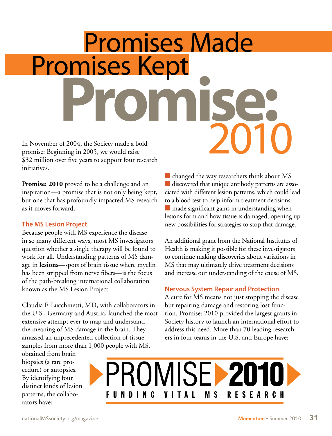# In November of 2004, the Society made a bold Promises Made Promises Kept **Promise:** 2010

promise: Beginning in 2005, we would raise \$32 million over five years to support four research initiatives.

**Promise: 2010** proved to be a challenge and an inspiration—a promise that is not only being kept, but one that has profoundly impacted MS research as it moves forward.

### **The MS Lesion Project**

Because people with MS experience the disease in so many different ways, most MS investigators question whether a single therapy will be found to work for all. Understanding patterns of MS damage in **lesions**—spots of brain tissue where myelin has been stripped from nerve fibers—is the focus of the path-breaking international collaboration known as the MS Lesion Project.

Claudia F. Lucchinetti, MD, with collaborators in the U.S., Germany and Austria, launched the most extensive attempt ever to map and understand the meaning of MS damage in the brain. They amassed an unprecedented collection of tissue samples from more than 1,000 people with MS,

obtained from brain biopsies (a rare procedure) or autopsies. By identifying four distinct kinds of lesion patterns, the collaborators have:

 $\blacksquare$  changed the way researchers think about MS  $\blacksquare$  discovered that unique antibody patterns are associated with different lesion patterns, which could lead to a blood test to help inform treatment decisions  $\blacksquare$  made significant gains in understanding when lesions form and how tissue is damaged, opening up new possibilities for strategies to stop that damage.

An additional grant from the National Institutes of Health is making it possible for these investigators to continue making discoveries about variations in MS that may ultimately drive treatment decisions and increase our understanding of the cause of MS.

# **Nervous System Repair and Protection**

A cure for MS means not just stopping the disease but repairing damage and restoring lost function. Promise: 2010 provided the largest grants in Society history to launch an international effort to address this need. More than 70 leading researchers in four teams in the U.S. and Europe have: